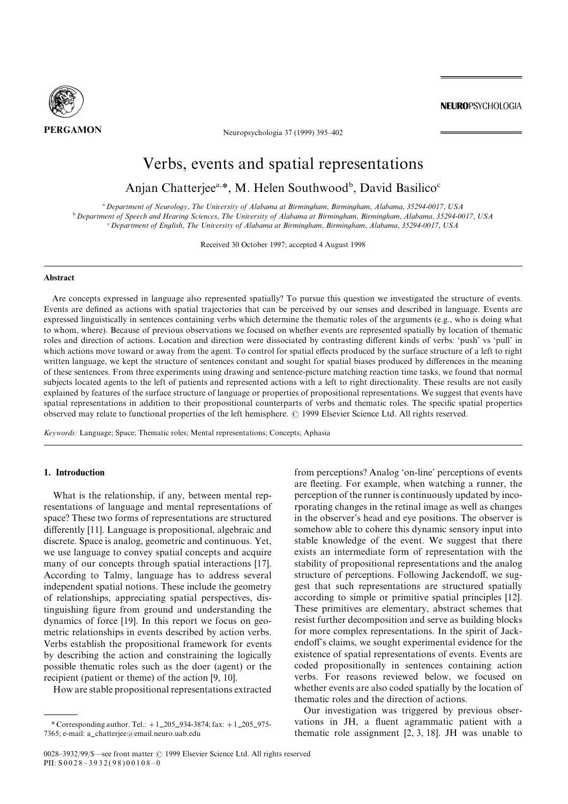

PERGAMON Neuropsychologia 37 (1999) 395-402

**NEUROPSYCHOLOGIA** 

# Verbs, events and spatial representations

# Anjan Chatterjee<sup>a,\*</sup>, M. Helen Southwood<sup>b</sup>, David Basilico<sup>c</sup>

<sup>a</sup> Department of Neuroloay. The University of Alabama at Birminaham. Birminaham, Alabama, 35294-0017, USA <sup>b</sup> Department of Speech and Hearing Sciences, The University of Alabama at Birmingham, Birmingham, Alabama, 35294-0017, USA  $c$  Department of English, The University of Alabama at Birmingham, Birmingham, Alabama, 35294-0017, USA

Received 30 October 1997; accepted 4 August 1998

#### Abstract

Are concepts expressed in language also represented spatially? To pursue this question we investigated the structure of events. Events are defined as actions with spatial trajectories that can be perceived by our senses and described in language. Events are expressed linguistically in sentences containing verbs which determine the thematic roles of the arguments (e.g., who is doing what to whom, where). Because of previous observations we focused on whether events are represented spatially by location of thematic roles and direction of actions. Location and direction were dissociated by contrasting different kinds of verbs: 'push' vs 'pull' in which actions move toward or away from the agent. To control for spatial effects produced by the surface structure of a left to right written language, we kept the structure of sentences constant and sought for spatial biases produced by differences in the meaning of these sentences. From three experiments using drawing and sentence-picture matching reaction time tasks, we found that normal subjects located agents to the left of patients and represented actions with a left to right directionality. These results are not easily explained by features of the surface structure of language or properties of propositional representations. We suggest that events have spatial representations in addition to their propositional counterparts of verbs and thematic roles. The specific spatial properties observed may relate to functional properties of the left hemisphere. © 1999 Elsevier Science Ltd. All rights reserved.

Keywords: Language; Space; Thematic roles; Mental representations; Concepts; Aphasia

# 1. Introduction

What is the relationship, if any, between mental representations of language and mental representations of space? These two forms of representations are structured differently  $[11]$ . Language is propositional, algebraic and  $discrete. Space is analog, geometric and continuous. Yet,$ we use language to convey spatial concepts and acquire many of our concepts through spatial interactions [17]. According to Talmy, language has to address several independent spatial notions. These include the geometry of relationships, appreciating spatial perspectives, distinguishing figure from ground and understanding the dynamics of force  $[19]$ . In this report we focus on geometric relationships in events described by action verbs. Verbs establish the propositional framework for events by describing the action and constraining the logically possible thematic roles such as the doer (agent) or the recipient (patient or theme) of the action  $[9, 10]$ .

How are stable propositional representations extracted

from perceptions? Analog 'on-line' perceptions of events are fleeting. For example, when watching a runner, the perception of the runner is continuously updated by incorporating changes in the retinal image as well as changes in the observer's head and eye positions. The observer is somehow able to cohere this dynamic sensory input into stable knowledge of the event. We suggest that there exists an intermediate form of representation with the stability of propositional representations and the analog structure of perceptions. Following Jackendoff, we suggest that such representations are structured spatially according to simple or primitive spatial principles [12]. These primitives are elementary, abstract schemes that resist further decomposition and serve as building blocks for more complex representations. In the spirit of Jackendoff's claims, we sought experimental evidence for the existence of spatial representations of events. Events are coded propositionally in sentences containing action verbs. For reasons reviewed below, we focused on whether events are also coded spatially by the location of thematic roles and the direction of actions.

Our investigation was triggered by previous observations in JH, a fluent agrammatic patient with a thematic role assignment  $[2, 3, 18]$ . JH was unable to

<sup>\*</sup> Corresponding author. Tel.:  $+1\_205\_934 - 3874$ ; fax:  $+1\_205\_975 -$ 7365; e-mail: a\_chatterjee@email.neuro.uab.edu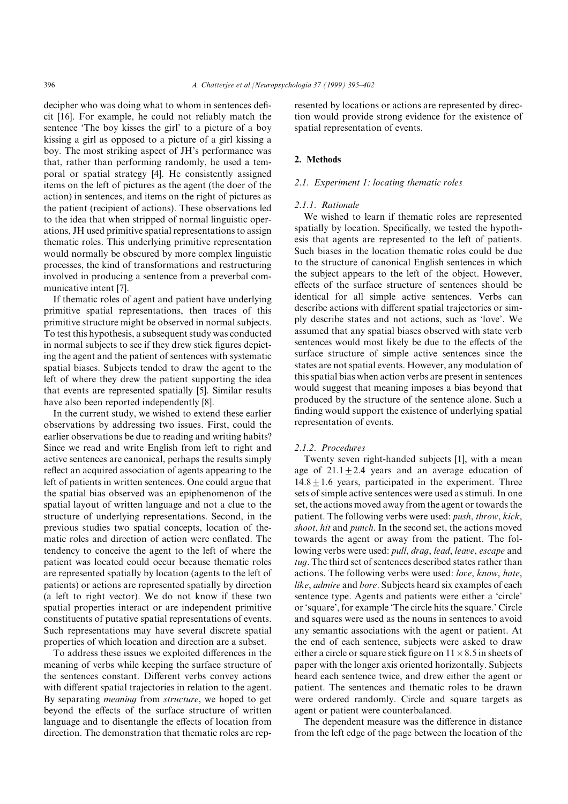decipher who was doing what to whom in sentences deficit  $[16]$ . For example, he could not reliably match the sentence 'The boy kisses the girl' to a picture of a boy kissing a girl as opposed to a picture of a girl kissing a boy. The most striking aspect of JH's performance was that, rather than performing randomly, he used a temporal or spatial strategy [4]. He consistently assigned items on the left of pictures as the agent (the doer of the action) in sentences, and items on the right of pictures as the patient (recipient of actions). These observations led to the idea that when stripped of normal linguistic operations\ JH used primitive spatial representations to assign thematic roles. This underlying primitive representation would normally be obscured by more complex linguistic processes, the kind of transformations and restructuring involved in producing a sentence from a preverbal communicative intent [7].

If thematic roles of agent and patient have underlying primitive spatial representations\ then traces of this primitive structure might be observed in normal subjects. To test this hypothesis, a subsequent study was conducted in normal subjects to see if they drew stick figures depicting the agent and the patient of sentences with systematic spatial biases. Subjects tended to draw the agent to the left of where they drew the patient supporting the idea that events are represented spatially [5]. Similar results have also been reported independently [8].

In the current study, we wished to extend these earlier observations by addressing two issues. First, could the earlier observations be due to reading and writing habits< Since we read and write English from left to right and active sentences are canonical\ perhaps the results simply reflect an acquired association of agents appearing to the left of patients in written sentences. One could argue that the spatial bias observed was an epiphenomenon of the spatial layout of written language and not a clue to the structure of underlying representations. Second, in the previous studies two spatial concepts\ location of the! matic roles and direction of action were conflated. The tendency to conceive the agent to the left of where the patient was located could occur because thematic roles are represented spatially by location (agents to the left of patients) or actions are represented spatially by direction (a left to right vector). We do not know if these two spatial properties interact or are independent primitive constituents of putative spatial representations of events. Such representations may have several discrete spatial properties of which location and direction are a subset.

To address these issues we exploited differences in the meaning of verbs while keeping the surface structure of the sentences constant. Different verbs convey actions with different spatial trajectories in relation to the agent. By separating *meaning* from *structure*, we hoped to get beyond the effects of the surface structure of written language and to disentangle the effects of location from direction. The demonstration that thematic roles are represented by locations or actions are represented by direction would provide strong evidence for the existence of spatial representation of events.

#### 2. Methods

#### $2.1.$  Experiment 1: locating thematic roles

#### 2.1.1. Rationale

We wished to learn if thematic roles are represented spatially by location. Specifically, we tested the hypothesis that agents are represented to the left of patients. Such biases in the location thematic roles could be due to the structure of canonical English sentences in which the subject appears to the left of the object. However, effects of the surface structure of sentences should be identical for all simple active sentences. Verbs can describe actions with different spatial trajectories or simply describe states and not actions, such as 'love'. We assumed that any spatial biases observed with state verb sentences would most likely be due to the effects of the surface structure of simple active sentences since the states are not spatial events. However, any modulation of this spatial bias when action verbs are present in sentences would suggest that meaning imposes a bias beyond that produced by the structure of the sentence alone. Such a finding would support the existence of underlying spatial representation of events.

#### 2.1.2. Procedures

Twenty seven right-handed subjects  $[1]$ , with a mean age of  $21.1 \pm 2.4$  years and an average education of  $14.8 \pm 1.6$  years, participated in the experiment. Three sets of simple active sentences were used as stimuli. In one set, the actions moved away from the agent or towards the patient. The following verbs were used:  $push, throw, kick,$ shoot, hit and punch. In the second set, the actions moved towards the agent or away from the patient. The following verbs were used: pull, draq, lead, leave, escape and tug. The third set of sentences described states rather than actions. The following verbs were used: love, know, hate, like, admire and bore. Subjects heard six examples of each sentence type. Agents and patients were either a 'circle' or 'square', for example 'The circle hits the square.' Circle and squares were used as the nouns in sentences to avoid any semantic associations with the agent or patient. At the end of each sentence, subjects were asked to draw either a circle or square stick figure on  $11 \times 8.5$  in sheets of paper with the longer axis oriented horizontally. Subjects heard each sentence twice, and drew either the agent or patient. The sentences and thematic roles to be drawn were ordered randomly. Circle and square targets as agent or patient were counterbalanced.

The dependent measure was the difference in distance from the left edge of the page between the location of the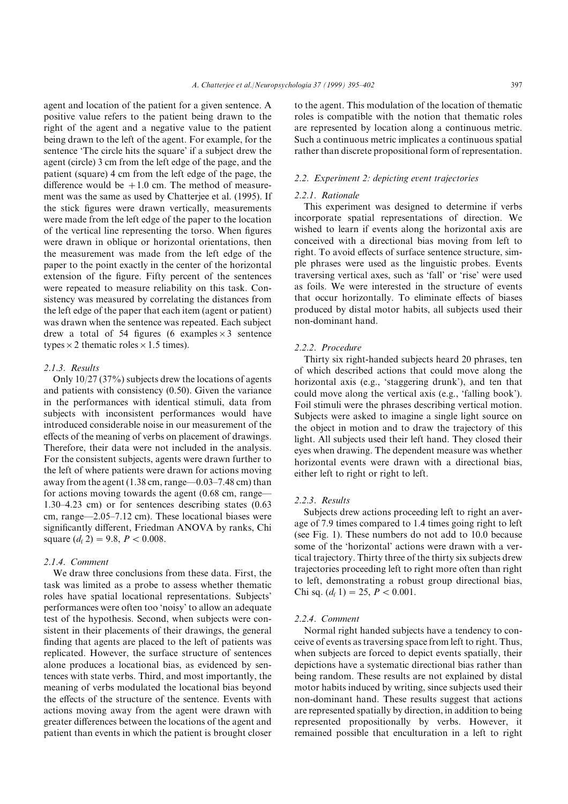agent and location of the patient for a given sentence. A positive value refers to the patient being drawn to the right of the agent and a negative value to the patient being drawn to the left of the agent. For example, for the sentence 'The circle hits the square' if a subject drew the agent (circle) 3 cm from the left edge of the page, and the patient (square) 4 cm from the left edge of the page, the difference would be  $+1.0$  cm. The method of measurement was the same as used by Chatterjee et al. (1995). If the stick figures were drawn vertically, measurements were made from the left edge of the paper to the location of the vertical line representing the torso. When figures were drawn in oblique or horizontal orientations, then the measurement was made from the left edge of the paper to the point exactly in the center of the horizontal extension of the figure. Fifty percent of the sentences were repeated to measure reliability on this task. Consistency was measured by correlating the distances from the left edge of the paper that each item (agent or patient) was drawn when the sentence was repeated. Each subject drew a total of 54 figures (6 examples  $\times$  3 sentence types  $\times$  2 thematic roles  $\times$  1.5 times).

#### $2.1.3.$  Results

Only  $10/27$  (37%) subjects drew the locations of agents and patients with consistency  $(0.50)$ . Given the variance in the performances with identical stimuli, data from subjects with inconsistent performances would have introduced considerable noise in our measurement of the effects of the meaning of verbs on placement of drawings. Therefore, their data were not included in the analysis. For the consistent subjects, agents were drawn further to the left of where patients were drawn for actions moving away from the agent  $(1.38 \text{ cm}, \text{range} -0.03 -7.48 \text{ cm})$  than for actions moving towards the agent  $(0.68 \text{ cm}, \text{range}$ - $1.30-4.23$  cm) or for sentences describing states  $(0.63)$ cm, range $-2.05-7.12$  cm). These locational biases were significantly different, Friedman ANOVA by ranks, Chi square  $(d_f 2) = 9.8$ ,  $P < 0.008$ .

#### $2.1.4$  Comment

We draw three conclusions from these data. First, the task was limited as a probe to assess whether thematic roles have spatial locational representations. Subjects' performances were often too 'noisy' to allow an adequate test of the hypothesis. Second, when subjects were consistent in their placements of their drawings, the general finding that agents are placed to the left of patients was replicated. However, the surface structure of sentences alone produces a locational bias, as evidenced by sentences with state verbs. Third, and most importantly, the meaning of verbs modulated the locational bias beyond the effects of the structure of the sentence. Events with actions moving away from the agent were drawn with greater differences between the locations of the agent and patient than events in which the patient is brought closer to the agent. This modulation of the location of thematic roles is compatible with the notion that thematic roles are represented by location along a continuous metric. Such a continuous metric implicates a continuous spatial rather than discrete propositional form of representation.

# 2.2. Experiment 2: depicting event trajectories

#### 2.2.1. Rationale

This experiment was designed to determine if verbs incorporate spatial representations of direction. We wished to learn if events along the horizontal axis are conceived with a directional bias moving from left to right. To avoid effects of surface sentence structure, simple phrases were used as the linguistic probes. Events traversing vertical axes, such as 'fall' or 'rise' were used as foils. We were interested in the structure of events that occur horizontally. To eliminate effects of biases produced by distal motor habits\ all subjects used their non-dominant hand.

#### 2.2.2. Procedure

Thirty six right-handed subjects heard 20 phrases, ten of which described actions that could move along the horizontal axis (e.g., 'staggering drunk'), and ten that could move along the vertical axis (e.g., 'falling book'). Foil stimuli were the phrases describing vertical motion. Subjects were asked to imagine a single light source on the object in motion and to draw the trajectory of this light. All subjects used their left hand. They closed their eyes when drawing. The dependent measure was whether horizontal events were drawn with a directional bias, either left to right or right to left.

# $2.2.3$ . Results

Subjects drew actions proceeding left to right an average of 7.9 times compared to 1.4 times going right to left (see Fig. 1). These numbers do not add to  $10.0$  because some of the 'horizontal' actions were drawn with a vertical trajectory[ Thirty three of the thirty six subjects drew trajectories proceeding left to right more often than right to left, demonstrating a robust group directional bias, Chi sq.  $(d_f 1) = 25$ ,  $P < 0.001$ .

#### 2.2.4. Comment

Normal right handed subjects have a tendency to conceive of events as traversing space from left to right. Thus, when subjects are forced to depict events spatially, their depictions have a systematic directional bias rather than being random. These results are not explained by distal motor habits induced by writing, since subjects used their non-dominant hand. These results suggest that actions are represented spatially by direction, in addition to being represented propositionally by verbs. However, it remained possible that enculturation in a left to right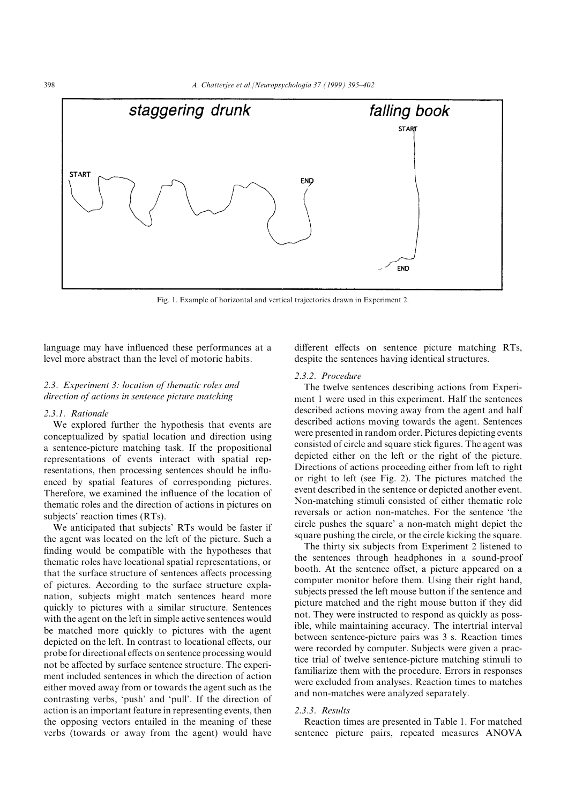

Fig. 1. Example of horizontal and vertical trajectories drawn in Experiment 2.

language may have influenced these performances at a level more abstract than the level of motoric habits.

# $2.3.$  Experiment 3: location of thematic roles and direction of actions in sentence picture matching

# 2.3.1. Rationale

We explored further the hypothesis that events are conceptualized by spatial location and direction using a sentence-picture matching task. If the propositional representations of events interact with spatial representations, then processing sentences should be influenced by spatial features of corresponding pictures. Therefore, we examined the influence of the location of thematic roles and the direction of actions in pictures on subjects' reaction times (RTs).

We anticipated that subjects' RTs would be faster if the agent was located on the left of the picture. Such a finding would be compatible with the hypotheses that thematic roles have locational spatial representations\ or that the surface structure of sentences affects processing of pictures. According to the surface structure explanation, subjects might match sentences heard more quickly to pictures with a similar structure. Sentences with the agent on the left in simple active sentences would be matched more quickly to pictures with the agent depicted on the left. In contrast to locational effects, our probe for directional effects on sentence processing would not be affected by surface sentence structure. The experiment included sentences in which the direction of action either moved away from or towards the agent such as the contrasting verbs, 'push' and 'pull'. If the direction of action is an important feature in representing events\ then the opposing vectors entailed in the meaning of these verbs (towards or away from the agent) would have

different effects on sentence picture matching RTs, despite the sentences having identical structures.

# 2.3.2. Procedure

The twelve sentences describing actions from Experiment 1 were used in this experiment. Half the sentences described actions moving away from the agent and half described actions moving towards the agent. Sentences were presented in random order. Pictures depicting events consisted of circle and square stick figures. The agent was depicted either on the left or the right of the picture. Directions of actions proceeding either from left to right or right to left (see Fig. 2). The pictures matched the event described in the sentence or depicted another event. Non-matching stimuli consisted of either thematic role reversals or action non-matches. For the sentence 'the circle pushes the square' a non-match might depict the square pushing the circle, or the circle kicking the square.

The thirty six subjects from Experiment 2 listened to the sentences through headphones in a sound-proof booth. At the sentence offset, a picture appeared on a computer monitor before them. Using their right hand, subjects pressed the left mouse button if the sentence and picture matched and the right mouse button if they did not. They were instructed to respond as quickly as possible, while maintaining accuracy. The intertrial interval between sentence-picture pairs was 3 s. Reaction times were recorded by computer. Subjects were given a practice trial of twelve sentence-picture matching stimuli to familiarize them with the procedure. Errors in responses were excluded from analyses. Reaction times to matches and non-matches were analyzed separately.

#### $2.3.3.$  Results

Reaction times are presented in Table 1. For matched sentence picture pairs, repeated measures ANOVA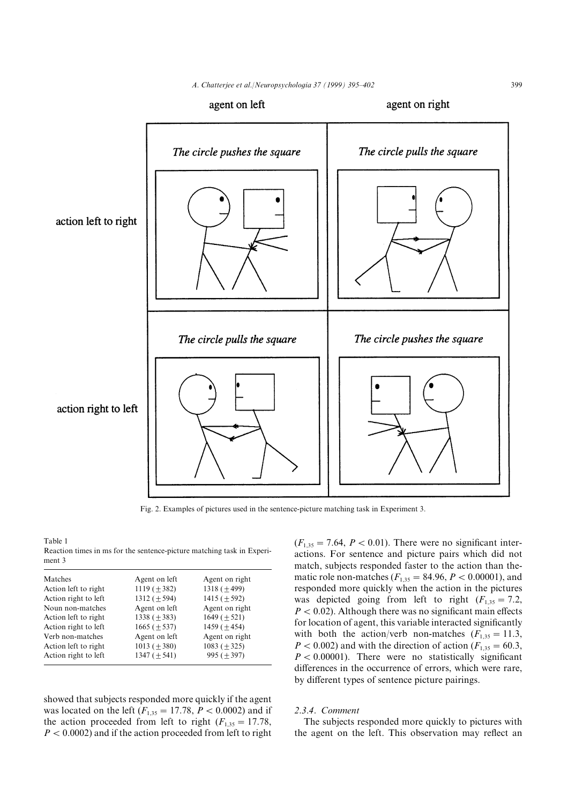

Fig. 2. Examples of pictures used in the sentence-picture matching task in Experiment 3.

Table 1 Reaction times in ms for the sentence-picture matching task in Experiment 3

| Matches              | Agent on left     | Agent on right   |  |
|----------------------|-------------------|------------------|--|
| Action left to right | 1119 $(\pm 382)$  | 1318 $(\pm 499)$ |  |
| Action right to left | 1312 $(\pm 594)$  | 1415 $(\pm 592)$ |  |
| Noun non-matches     | Agent on left     | Agent on right   |  |
| Action left to right | $1338 (+383)$     | $1649 (+ 521)$   |  |
| Action right to left | $1665 (+537)$     | $1459 (+454)$    |  |
| Verb non-matches     | Agent on left     | Agent on right   |  |
| Action left to right | 1013 ( $\pm$ 380) | 1083 $(\pm 325)$ |  |
| Action right to left | $1347 (+541)$     | $995 (+ 397)$    |  |
|                      |                   |                  |  |

showed that subjects responded more quickly if the agent was located on the left  $(F_{1,35} = 17.78, P < 0.0002)$  and if the action proceeded from left to right  $(F_{1,35} = 17.78)$ ,  $P < 0.0002$ ) and if the action proceeded from left to right  $(F_{1,35} = 7.64, P < 0.01)$ . There were no significant interactions. For sentence and picture pairs which did not match, subjects responded faster to the action than thematic role non-matches  $(F_{1,35} = 84.96, P < 0.00001)$ , and responded more quickly when the action in the pictures was depicted going from left to right  $(F_{1,35} = 7.2$ ,  $P < 0.02$ ). Although there was no significant main effects for location of agent, this variable interacted significantly with both the action/verb non-matches  $(F_{1,35} = 11.3$ ,  $P < 0.002$ ) and with the direction of action  $(F_{1,35} = 60.3$ ,  $P < 0.00001$ ). There were no statistically significant differences in the occurrence of errors, which were rare, by different types of sentence picture pairings.

# 2.3.4. Comment

The subjects responded more quickly to pictures with the agent on the left. This observation may reflect an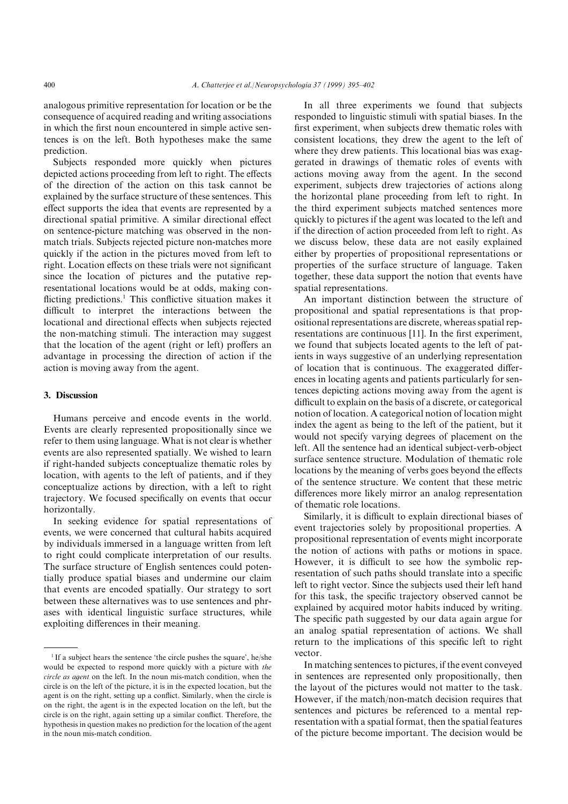analogous primitive representation for location or be the consequence of acquired reading and writing associations in which the first noun encountered in simple active sentences is on the left. Both hypotheses make the same prediction.

Subjects responded more quickly when pictures depicted actions proceeding from left to right. The effects of the direction of the action on this task cannot be explained by the surface structure of these sentences. This effect supports the idea that events are represented by a directional spatial primitive. A similar directional effect on sentence-picture matching was observed in the nonmatch trials. Subjects rejected picture non-matches more quickly if the action in the pictures moved from left to right. Location effects on these trials were not significant since the location of pictures and the putative representational locations would be at odds, making conflicting predictions.<sup>1</sup> This conflictive situation makes it difficult to interpret the interactions between the locational and directional effects when subjects rejected the non-matching stimuli. The interaction may suggest that the location of the agent (right or left) proffers an advantage in processing the direction of action if the action is moving away from the agent.

#### 3. Discussion

Humans perceive and encode events in the world. Events are clearly represented propositionally since we refer to them using language. What is not clear is whether events are also represented spatially. We wished to learn if right-handed subjects conceptualize thematic roles by location, with agents to the left of patients, and if they conceptualize actions by direction, with a left to right trajectory. We focused specifically on events that occur horizontally.

In seeking evidence for spatial representations of events, we were concerned that cultural habits acquired by individuals immersed in a language written from left to right could complicate interpretation of our results. The surface structure of English sentences could potentially produce spatial biases and undermine our claim that events are encoded spatially. Our strategy to sort between these alternatives was to use sentences and phrases with identical linguistic surface structures, while exploiting differences in their meaning.

In all three experiments we found that subjects responded to linguistic stimuli with spatial biases. In the first experiment, when subjects drew thematic roles with consistent locations, they drew the agent to the left of where they drew patients. This locational bias was exaggerated in drawings of thematic roles of events with actions moving away from the agent. In the second experiment, subjects drew trajectories of actions along the horizontal plane proceeding from left to right. In the third experiment subjects matched sentences more quickly to pictures if the agent was located to the left and if the direction of action proceeded from left to right. As we discuss below, these data are not easily explained either by properties of propositional representations or properties of the surface structure of language. Taken together, these data support the notion that events have spatial representations.

An important distinction between the structure of propositional and spatial representations is that propositional representations are discrete, whereas spatial representations are continuous  $[11]$ . In the first experiment, we found that subjects located agents to the left of patients in ways suggestive of an underlying representation of location that is continuous. The exaggerated differences in locating agents and patients particularly for sentences depicting actions moving away from the agent is difficult to explain on the basis of a discrete, or categorical notion of location. A categorical notion of location might index the agent as being to the left of the patient, but it would not specify varying degrees of placement on the left. All the sentence had an identical subject-verb-object surface sentence structure. Modulation of thematic role locations by the meaning of verbs goes beyond the effects of the sentence structure. We content that these metric differences more likely mirror an analog representation of thematic role locations.

Similarly, it is difficult to explain directional biases of event trajectories solely by propositional properties. A propositional representation of events might incorporate the notion of actions with paths or motions in space. However, it is difficult to see how the symbolic representation of such paths should translate into a specific left to right vector. Since the subjects used their left hand for this task, the specific trajectory observed cannot be explained by acquired motor habits induced by writing. The specific path suggested by our data again argue for an analog spatial representation of actions. We shall return to the implications of this specific left to right vector.

In matching sentences to pictures, if the event conveyed in sentences are represented only propositionally, then the layout of the pictures would not matter to the task. However, if the match/non-match decision requires that sentences and pictures be referenced to a mental representation with a spatial format, then the spatial features of the picture become important. The decision would be

 $1$  If a subject hears the sentence 'the circle pushes the square', he/she would be expected to respond more quickly with a picture with the  $circle$  as agent on the left. In the noun mis-match condition, when the circle is on the left of the picture, it is in the expected location, but the agent is on the right, setting up a conflict. Similarly, when the circle is on the right, the agent is in the expected location on the left, but the circle is on the right, again setting up a similar conflict. Therefore, the hypothesis in question makes no prediction for the location of the agent in the noun mis-match condition.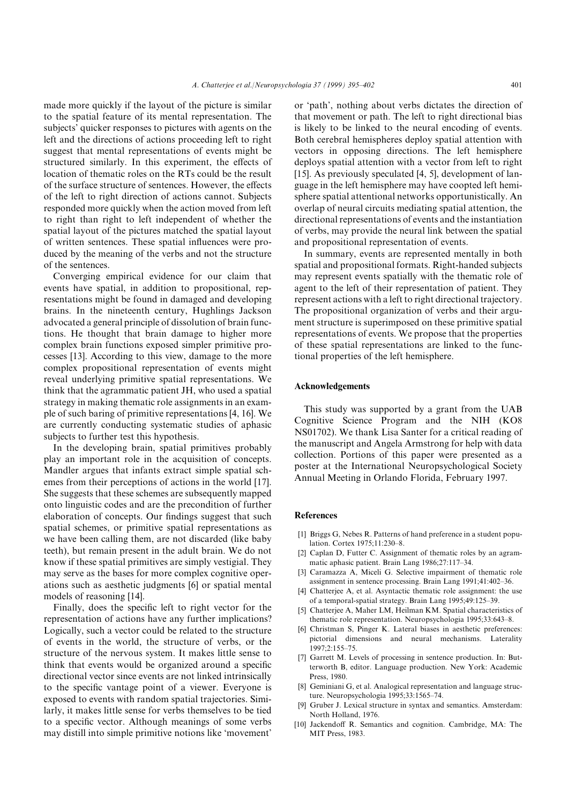made more quickly if the layout of the picture is similar to the spatial feature of its mental representation. The subjects' quicker responses to pictures with agents on the left and the directions of actions proceeding left to right suggest that mental representations of events might be structured similarly. In this experiment, the effects of location of thematic roles on the RTs could be the result of the surface structure of sentences. However, the effects of the left to right direction of actions cannot. Subjects responded more quickly when the action moved from left to right than right to left independent of whether the spatial layout of the pictures matched the spatial layout of written sentences. These spatial influences were produced by the meaning of the verbs and not the structure of the sentences.

Converging empirical evidence for our claim that events have spatial, in addition to propositional, representations might be found in damaged and developing brains. In the nineteenth century, Hughlings Jackson advocated a general principle of dissolution of brain functions. He thought that brain damage to higher more complex brain functions exposed simpler primitive processes [13]. According to this view, damage to the more complex propositional representation of events might reveal underlying primitive spatial representations. We think that the agrammatic patient JH, who used a spatial strategy in making thematic role assignments in an example of such baring of primitive representations  $[4, 16]$ . We are currently conducting systematic studies of aphasic subjects to further test this hypothesis.

In the developing brain, spatial primitives probably play an important role in the acquisition of concepts. Mandler argues that infants extract simple spatial schemes from their perceptions of actions in the world [17]. She suggests that these schemes are subsequently mapped onto linguistic codes and are the precondition of further elaboration of concepts. Our findings suggest that such spatial schemes, or primitive spatial representations as we have been calling them, are not discarded (like baby teeth), but remain present in the adult brain. We do not know if these spatial primitives are simply vestigial. They may serve as the bases for more complex cognitive operations such as aesthetic judgments [6] or spatial mental models of reasoning [14].

Finally, does the specific left to right vector for the representation of actions have any further implications< Logically, such a vector could be related to the structure of events in the world\ the structure of verbs\ or the structure of the nervous system. It makes little sense to think that events would be organized around a specific directional vector since events are not linked intrinsically to the specific vantage point of a viewer. Everyone is exposed to events with random spatial trajectories. Similarly, it makes little sense for verbs themselves to be tied to a specific vector. Although meanings of some verbs may distill into simple primitive notions like 'movement'

or 'path', nothing about verbs dictates the direction of that movement or path. The left to right directional bias is likely to be linked to the neural encoding of events. Both cerebral hemispheres deploy spatial attention with vectors in opposing directions. The left hemisphere deploys spatial attention with a vector from left to right [15]. As previously speculated  $[4, 5]$ , development of language in the left hemisphere may have coopted left hemisphere spatial attentional networks opportunistically. An overlap of neural circuits mediating spatial attention, the directional representations of events and the instantiation of verbs\ may provide the neural link between the spatial and propositional representation of events.

In summary, events are represented mentally in both spatial and propositional formats. Right-handed subjects may represent events spatially with the thematic role of agent to the left of their representation of patient. They represent actions with a left to right directional trajectory. The propositional organization of verbs and their argument structure is superimposed on these primitive spatial representations of events. We propose that the properties of these spatial representations are linked to the functional properties of the left hemisphere.

# Acknowledgements

This study was supported by a grant from the UAB Cognitive Science Program and the NIH (KO8 NS01702). We thank Lisa Santer for a critical reading of the manuscript and Angela Armstrong for help with data collection. Portions of this paper were presented as a poster at the International Neuropsychological Society Annual Meeting in Orlando Florida, February 1997.

#### References

- [1] Briggs G, Nebes R. Patterns of hand preference in a student population. Cortex 1975;11:230-8.
- [2] Caplan D, Futter C. Assignment of thematic roles by an agrammatic aphasic patient. Brain Lang 1986;27:117-34.
- Caramazza A, Miceli G. Selective impairment of thematic role assignment in sentence processing. Brain Lang  $1991,41.402-36$ .
- [4] Chatterjee A, et al. Asyntactic thematic role assignment: the use of a temporal-spatial strategy. Brain Lang 1995;49:125-39.
- Chatterjee A, Maher LM, Heilman KM. Spatial characteristics of thematic role representation. Neuropsychologia 1995;33:643-8.
- [6] Christman S, Pinger K. Lateral biases in aesthetic preferences: pictorial dimensions and neural mechanisms. Laterality  $1997:2:155 - 75.$
- [7] Garrett M. Levels of processing in sentence production. In: Butterworth B, editor. Language production. New York: Academic Press, 1980.
- $[8]$  Geminiani G, et al. Analogical representation and language structure. Neuropsychologia 1995;33:1565-74.
- Gruber J. Lexical structure in syntax and semantics. Amsterdam: North Holland, 1976.
- [10] Jackendoff R. Semantics and cognition. Cambridge, MA: The MIT Press, 1983.